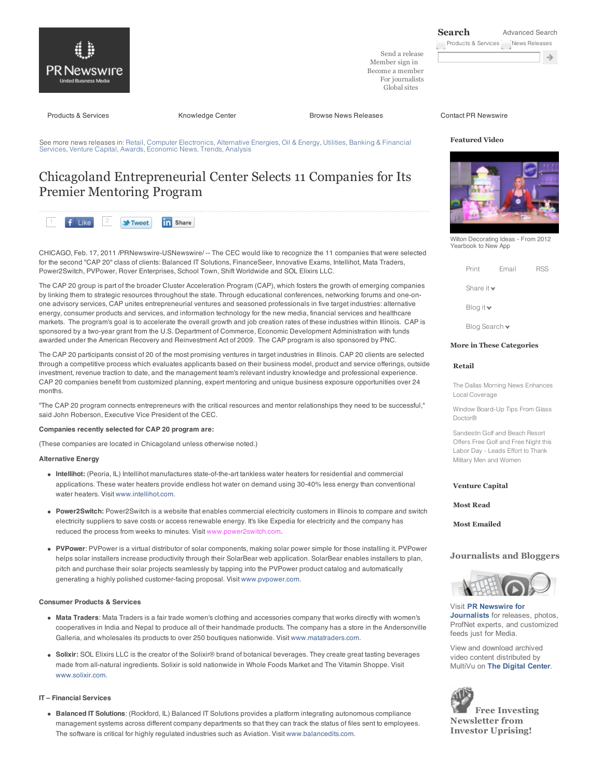

Send a release Member sign in Become a member For journalists Global sites

**Search** Advanced Search

Products & Services News Releases

in Share

Products & Services **Exercise Services** Knowledge Center **Browse News Releases** Contact PR Newswire

See more news releases in: Retail, Computer Electronics, Alternative Energies, Oil & Energy, Utilities, Banking & Financial Services, Venture Capital, Awards, Economic News, Trends, Analysis

# Chicagoland Entrepreneurial Center Selects 11 Companies for Its Premier Mentoring Program

f Like **V**-Tweet

CHICAGO, Feb. 17, 2011 /PRNewswire-USNewswire/ -- The CEC would like to recognize the 11 companies that were selected for the second "CAP 20" class of clients: Balanced IT Solutions, FinanceSeer, Innovative Exams, Intellihot, Mata Traders, Power2Switch, PVPower, Rover Enterprises, School Town, Shift Worldwide and SOL Elixirs LLC.

awarded under the American Recovery and Reinvestment Act of 2009. The CAP program is also sponsored by PNC.

The CAP 20 group is part of the broader Cluster Acceleration Program (CAP), which fosters the growth of emerging companies by linking them to strategic resources throughout the state. Through educational conferences, networking forums and one-onone advisory services, CAP unites entrepreneurial ventures and seasoned professionals in five target industries: alternative energy, consumer products and services, and information technology for the new media, financial services and healthcare markets. The program's goal is to accelerate the overall growth and job creation rates of these industries within Illinois. CAP is sponsored by a two-year grant from the U.S. Department of Commerce, Economic Development Administration with funds

The CAP 20 participants consist of 20 of the most promising ventures in target industries in Illinois. CAP 20 clients are selected through a competitive process which evaluates applicants based on their business model, product and service offerings, outside investment, revenue traction to date, and the management team's relevant industry knowledge and professional experience. CAP 20 companies benefit from customized planning, expert mentoring and unique business exposure opportunities over 24 months.

"The CAP 20 program connects entrepreneurs with the critical resources and mentor relationships they need to be successful," said John Roberson, Executive Vice President of the CEC.

# **Companies recently selected for CAP 20 program are:**

(These companies are located in Chicagoland unless otherwise noted.)

# **Alternative Energy**

- **Intellihot:** (Peoria, IL) Intellihot manufactures state-of-the-art tankless water heaters for residential and commercial applications. These water heaters provide endless hot water on demand using 30-40% less energy than conventional water heaters. Visit www.intellihot.com.
- **Power2Switch:** Power2Switch is a website that enables commercial electricity customers in Illinois to compare and switch electricity suppliers to save costs or access renewable energy. It's like Expedia for electricity and the company has reduced the process from weeks to minutes. Visit www.power2switch.com.
- **PVPower**: PVPower is a virtual distributor of solar components, making solar power simple for those installing it. PVPower helps solar installers increase productivity through their SolarBear web application. SolarBear enables installers to plan, pitch and purchase their solar projects seamlessly by tapping into the PVPower product catalog and automatically generating a highly polished customer-facing proposal. Visit www.pvpower.com.

#### **Consumer Products & Services**

- **Mata Traders**: Mata Traders is a fair trade women's clothing and accessories company that works directly with women's cooperatives in India and Nepal to produce all of their handmade products. The company has a store in the Andersonville Galleria, and wholesales its products to over 250 boutiques nationwide. Visit www.matatraders.com.
- **Solixir:** SOL Elixirs LLC is the creator of the Solixir® brand of botanical beverages. They create great tasting beverages made from all-natural ingredients. Solixir is sold nationwide in Whole Foods Market and The Vitamin Shoppe. Visit www.solixir.com.

# **IT – Financial Services**

**Balanced IT Solutions**: (Rockford, IL) Balanced IT Solutions provides a platform integrating autonomous compliance management systems across different company departments so that they can track the status of files sent to employees. The software is critical for highly regulated industries such as Aviation. Visit www.balancedits.com.

#### **Featured Video**



Wilton Decorating Ideas - From 2012 Yearbook to New App

| Print | Email | <b>RSS</b> |
|-------|-------|------------|
|       |       |            |

Share it v

Blog it

Blog Search  $\blacktriangleright$ 

# **More in These Categories**

# **Retail**

The Dallas Morning News Enhances Local Coverage

Window Board-Up Tips From Glass Doctor®

Sandestin Golf and Beach Resort Offers Free Golf and Free Night this Labor Day - Leads Effort to Thank Military Men and Women

#### **Venture Capital**

**Most Read**

**Most Emailed**

# **Journalists and Bloggers**



Visit **PR Newswire for Journalists** for releases, photos, ProfNet experts, and customized feeds just for Media.

View and download archived video content distributed by MultiVu on **The Digital Center**.